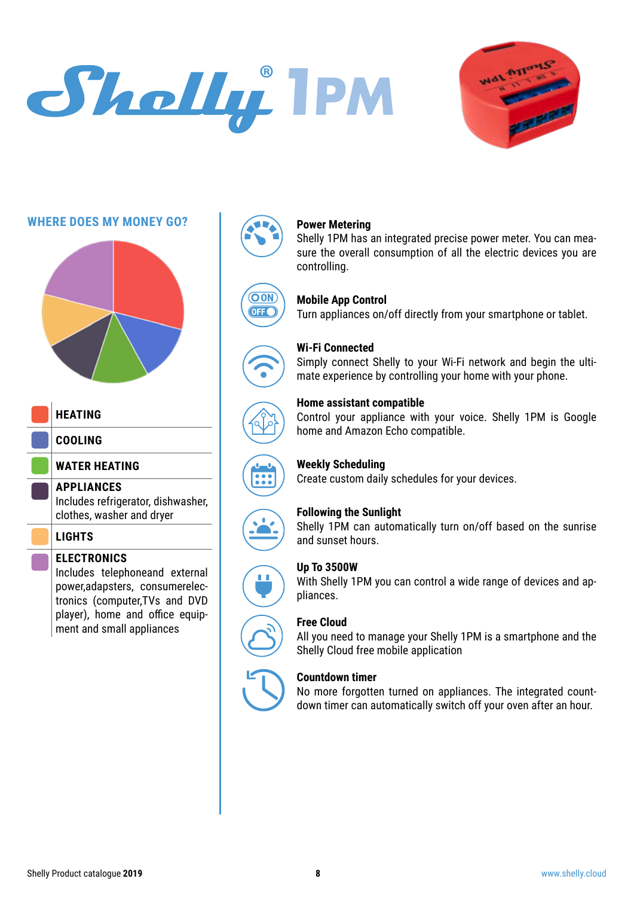# Sholly IPM



#### **WHERE DOES MY MONEY GO?**



#### **HEATING**

**COOLING**

**WATER HEATING**

#### **APPLIANCES**

Includes refrigerator, dishwasher, clothes, washer and dryer

#### **LIGHTS**

#### **ELECTRONICS**

Includes telephoneand external power,adapsters, consumerelectronics (computer,TVs and DVD player), home and office equipment and small appliances























### **Power Metering**

Shelly 1PM has an integrated precise power meter. You can measure the overall consumption of all the electric devices you are controlling.

#### **Mobile App Control**

Turn appliances on/off directly from your smartphone or tablet.

#### **Wi-Fi Connected**

Simply connect Shelly to your Wi-Fi network and begin the ultimate experience by controlling your home with your phone.

#### **Home assistant compatible**

Control your appliance with your voice. Shelly 1PM is Google home and Amazon Echo compatible.

#### **Weekly Scheduling**

Create custom daily schedules for your devices.

#### **Following the Sunlight**

Shelly 1PM can automatically turn on/off based on the sunrise and sunset hours.

#### **Up To 3500W**

With Shelly 1PM you can control a wide range of devices and appliances.

#### **Free Cloud**

All you need to manage your Shelly 1PM is a smartphone and the Shelly Cloud free mobile application

#### **Countdown timer**

No more forgotten turned on appliances. The integrated countdown timer can automatically switch off your oven after an hour.